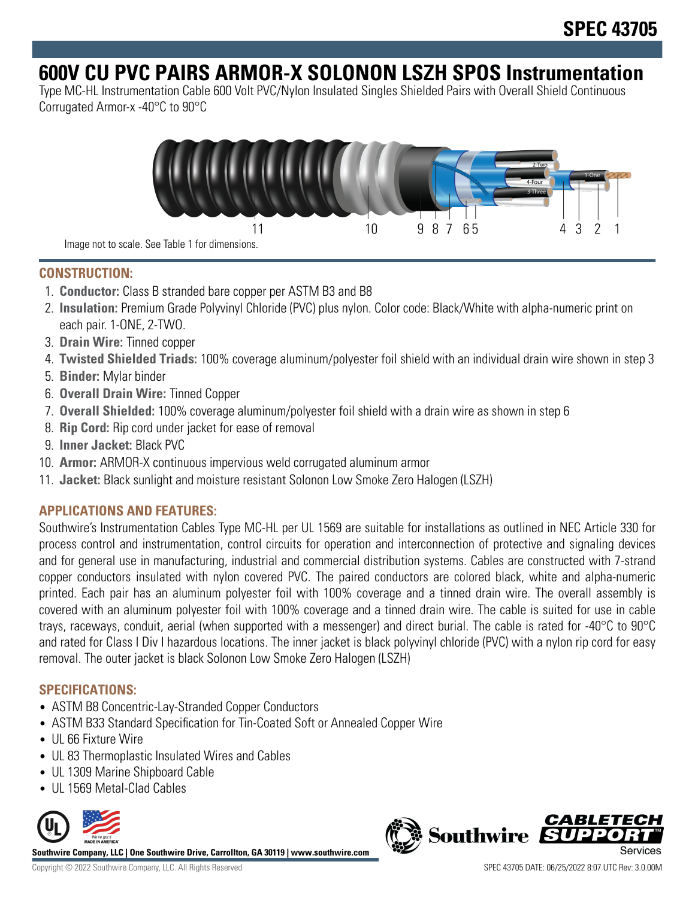# **600V CU PVC PAIRS ARMOR-X SOLONON LSZH SPOS Instrumentation**

Type MC-HL Instrumentation Cable 600 Volt PVC/Nylon Insulated Singles Shielded Pairs with Overall Shield Continuous Corrugated Armor-x -40°C to 90°C



Image not to scale. See Table 1 for dimensions.

### **CONSTRUCTION:**

- 1. **Conductor:** Class B stranded bare copper per ASTM B3 and B8
- 2. **Insulation:** Premium Grade Polyvinyl Chloride (PVC) plus nylon. Color code: Black/White with alpha-numeric print on each pair. 1-ONE, 2-TWO.
- 3. **Drain Wire:** Tinned copper
- 4. **Twisted Shielded Triads:** 100% coverage aluminum/polyester foil shield with an individual drain wire shown in step 3
- 5. **Binder:** Mylar binder
- 6. **Overall Drain Wire:** Tinned Copper
- 7. **Overall Shielded:** 100% coverage aluminum/polyester foil shield with a drain wire as shown in step 6
- 8. **Rip Cord:** Rip cord under jacket for ease of removal
- 9. **Inner Jacket:** Black PVC
- 10. **Armor:** ARMOR-X continuous impervious weld corrugated aluminum armor
- 11. **Jacket:** Black sunlight and moisture resistant Solonon Low Smoke Zero Halogen (LSZH)

## **APPLICATIONS AND FEATURES:**

Southwire's Instrumentation Cables Type MC-HL per UL 1569 are suitable for installations as outlined in NEC Article 330 for process control and instrumentation, control circuits for operation and interconnection of protective and signaling devices and for general use in manufacturing, industrial and commercial distribution systems. Cables are constructed with 7-strand copper conductors insulated with nylon covered PVC. The paired conductors are colored black, white and alpha-numeric printed. Each pair has an aluminum polyester foil with 100% coverage and a tinned drain wire. The overall assembly is covered with an aluminum polyester foil with 100% coverage and a tinned drain wire. The cable is suited for use in cable trays, raceways, conduit, aerial (when supported with a messenger) and direct burial. The cable is rated for -40°C to 90°C and rated for Class I Div I hazardous locations. The inner jacket is black polyvinyl chloride (PVC) with a nylon rip cord for easy removal. The outer jacket is black Solonon Low Smoke Zero Halogen (LSZH)

#### **SPECIFICATIONS:**

- ASTM B8 Concentric-Lay-Stranded Copper Conductors
- ASTM B33 Standard Specification for Tin-Coated Soft or Annealed Copper Wire
- UL 66 Fixture Wire
- UL 83 Thermoplastic Insulated Wires and Cables
- UL 1309 Marine Shipboard Cable
- UL 1569 Metal-Clad Cables



**Southwire Company, LLC | One Southwire Drive, Carrollton, GA 30119 | www.southwire.com**

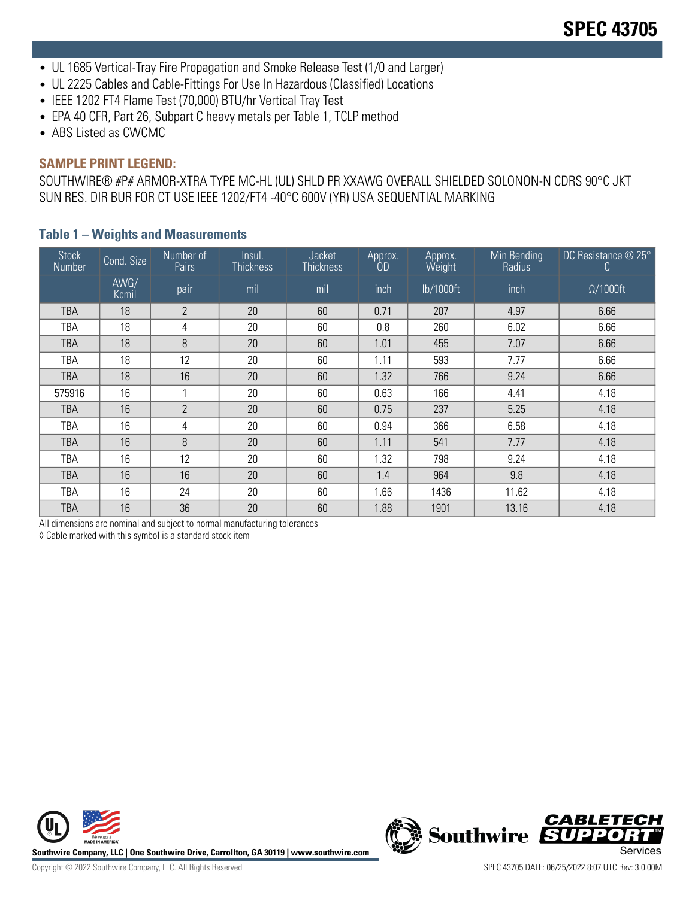- UL 1685 Vertical-Tray Fire Propagation and Smoke Release Test (1/0 and Larger)
- UL 2225 Cables and Cable-Fittings For Use In Hazardous (Classified) Locations
- IEEE 1202 FT4 Flame Test (70,000) BTU/hr Vertical Tray Test
- EPA 40 CFR, Part 26, Subpart C heavy metals per Table 1, TCLP method
- ABS Listed as CWCMC

#### **SAMPLE PRINT LEGEND:**

SOUTHWIRE® #P# ARMOR-XTRA TYPE MC-HL (UL) SHLD PR XXAWG OVERALL SHIELDED SOLONON-N CDRS 90°C JKT SUN RES. DIR BUR FOR CT USE IEEE 1202/FT4 -40°C 600V (YR) USA SEQUENTIAL MARKING

| Stock<br>Number | Cond. Size    | Number of<br>Pairs | Insul.<br><b>Thickness</b> | Jacket<br><b>Thickness</b> | Approx.<br>OD | Approx.<br>Weight | Min Bending<br>Radius | DC Resistance $@$ 25°<br>C. |
|-----------------|---------------|--------------------|----------------------------|----------------------------|---------------|-------------------|-----------------------|-----------------------------|
|                 | AWG/<br>Kcmil | pair               | mil                        | mil                        | inch          | lb/1000ft         | inch                  | $\Omega/1000$ ft            |
| <b>TBA</b>      | 18            | $2^{\circ}$        | 20                         | 60                         | 0.71          | 207               | 4.97                  | 6.66                        |
| TBA             | 18            | 4                  | 20                         | 60                         | 0.8           | 260               | 6.02                  | 6.66                        |
| TBA             | 18            | 8                  | 20                         | 60                         | 1.01          | 455               | 7.07                  | 6.66                        |
| TBA             | 18            | 12                 | 20                         | 60                         | 1.11          | 593               | 7.77                  | 6.66                        |
| <b>TBA</b>      | 18            | 16                 | 20                         | 60                         | 1.32          | 766               | 9.24                  | 6.66                        |
| 575916          | 16            |                    | 20                         | 60                         | 0.63          | 166               | 4.41                  | 4.18                        |
| TBA             | 16            | $\overline{2}$     | 20                         | 60                         | 0.75          | 237               | 5.25                  | 4.18                        |
| TBA             | 16            | 4                  | 20                         | 60                         | 0.94          | 366               | 6.58                  | 4.18                        |
| TBA             | 16            | 8                  | 20                         | 60                         | 1.11          | 541               | 7.77                  | 4.18                        |
| TBA             | 16            | 12                 | 20                         | 60                         | 1.32          | 798               | 9.24                  | 4.18                        |
| TBA             | 16            | 16                 | 20                         | 60                         | 1.4           | 964               | 9.8                   | 4.18                        |
| TBA             | 16            | 24                 | 20                         | 60                         | 1.66          | 1436              | 11.62                 | 4.18                        |
| <b>TBA</b>      | 16            | 36                 | 20                         | 60                         | 1.88          | 1901              | 13.16                 | 4.18                        |

#### **Table 1 – Weights and Measurements**

All dimensions are nominal and subject to normal manufacturing tolerances

◊ Cable marked with this symbol is a standard stock item